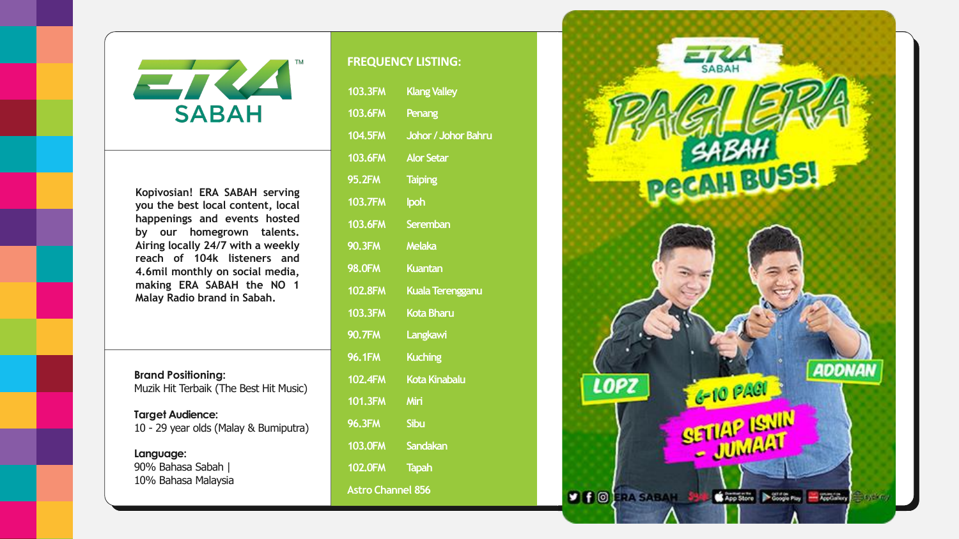



**Kopivosian! ERA SABAH serving you the best local content, local happenings and events hosted by our homegrown talents. Airing locally 24/7 with a weekly reach of 104k listeners and 4.6mil monthly on social media, making ERA SABAH the NO 1 Malay Radio brand in Sabah.**

**Brand Positioning:** Muzik Hit Terbaik (The Best Hit Music)

**Target Audience:** 10 - 29 year olds (Malay & Bumiputra)

**Language:** 90% Bahasa Sabah | 10% Bahasa Malaysia

## **FREQUENCY LISTING:**

| <b>103.3FM</b>           | <b>Klang Valley</b>     |
|--------------------------|-------------------------|
| <b>103.6FM</b>           | Penang                  |
| <b>104.5FM</b>           | Johor / Johor Bahru     |
| <b>103.6FM</b>           | <b>Alor Setar</b>       |
| <b>95.2FM</b>            | <b>Taiping</b>          |
| <b>103.7FM</b>           | Ipoh                    |
| <b>103.6FM</b>           | <b>Seremban</b>         |
| <b>90.3FM</b>            | <b>Melaka</b>           |
| <b>98.0FM</b>            | <b>Kuantan</b>          |
| <b>102.8FM</b>           | <b>Kuala Terengganu</b> |
| <b>103.3FM</b>           | <b>Kota Bharu</b>       |
| <b>90.7FM</b>            | Langkawi                |
| <b>96.1FM</b>            | <b>Kuching</b>          |
| <b>102.4FM</b>           | <b>Kota Kinabalu</b>    |
| <b>101.3FM</b>           | Miri                    |
| <b>96.3FM</b>            | <b>Sibu</b>             |
| <b>103.0FM</b>           | Sandakan                |
| <b>102.0FM</b>           | <b>Tapah</b>            |
| <b>Astro Channel 856</b> |                         |

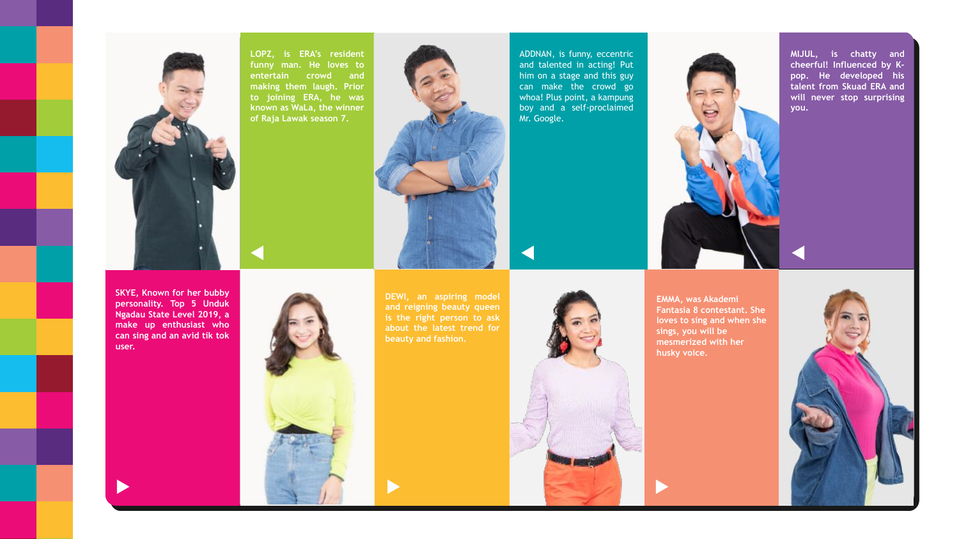**LOPZ, is ERA's resident funny man. He loves to entertain crowd and making them laugh. Prior to joining ERA, he was known as WaLa, the winner of Raja Lawak season 7.**





ADDNAN, is funny, eccentric and talented in acting! Put him on a stage and this guy can make the crowd go whoa! Plus point, a kampung boy and a self-proclaimed



Mr. Google.

**MIJUL, is chatty and cheerful! Influenced by Kpop. He developed his talent from Skuad ERA and will never stop surprising you.**





**SKYE, Known for her bubby personality. Top 5 Unduk Ngadau State Level 2019, a make up enthusiast who can sing and an avid tik tok user.**

**DEWI, an aspiring model and reigning beauty queen is the right person to ask about the latest trend for beauty and fashion.**

**EMMA, was Akademi Fantasia 8 contestant. She loves to sing and when she sings, you will be mesmerized with her husky voice.**